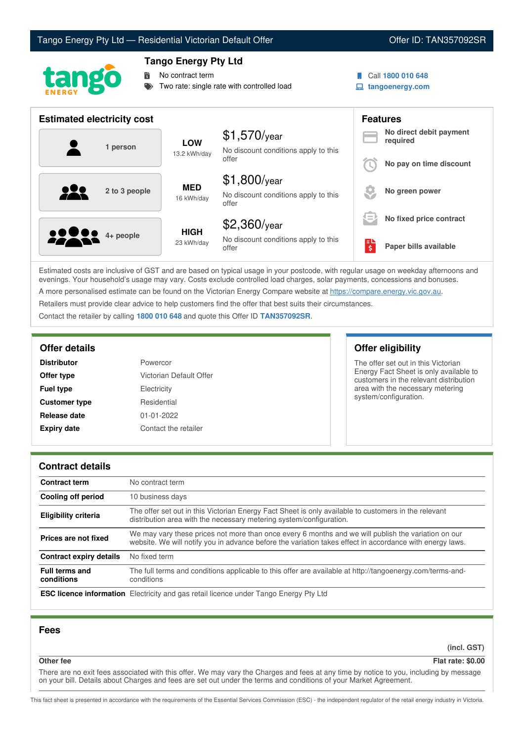# Tango Energy Pty Ltd — Residential Victorian Default Offer **Communist Communist Communist Communist Communist Communist Communist Communist Communist Communist Communist Communist Communist Communist Communist Communist Co**



## **Tango Energy Pty Ltd**

No contract term

Two rate: single rate with controlled load

- 
- Call **1800 010 648**
- **tangoenergy.com**

| <b>Estimated electricity cost</b>        |                            |                                                                 |                                      | <b>Features</b>                     |
|------------------------------------------|----------------------------|-----------------------------------------------------------------|--------------------------------------|-------------------------------------|
| 1 person                                 | <b>LOW</b><br>13.2 kWh/day | $$1,570$ /year<br>No discount conditions apply to this          |                                      | No direct debit payment<br>required |
|                                          |                            | offer                                                           |                                      | No pay on time discount             |
| $\bullet\bullet\bullet$<br>2 to 3 people | <b>MED</b><br>16 kWh/day   | $$1,800$ /year<br>No discount conditions apply to this<br>offer |                                      | No green power                      |
|                                          |                            | $$2,360$ /year                                                  | $\hspace{0.5cm}$<br>$\hspace{0.1mm}$ | No fixed price contract             |
| <b>2200</b> 4+ people                    | <b>HIGH</b><br>23 kWh/day  | No discount conditions apply to this<br>offer                   | \$                                   | Paper bills available               |

Estimated costs are inclusive of GST and are based on typical usage in your postcode, with regular usage on weekday afternoons and evenings. Your household's usage may vary. Costs exclude controlled load charges, solar payments, concessions and bonuses. A more personalised estimate can be found on the Victorian Energy Compare website at <https://compare.energy.vic.gov.au>.

Retailers must provide clear advice to help customers find the offer that best suits their circumstances.

Contact the retailer by calling **1800 010 648** and quote this Offer ID **TAN357092SR**.

| <b>Distributor</b>   | Powercor                |
|----------------------|-------------------------|
| Offer type           | Victorian Default Offer |
| <b>Fuel type</b>     | Electricity             |
| <b>Customer type</b> | Residential             |
| Release date         | $01 - 01 - 2022$        |
| <b>Expiry date</b>   | Contact the retailer    |

## **Offer details Offer eligibility**

The offer set out in this Victorian Energy Fact Sheet is only available to customers in the relevant distribution area with the necessary metering system/configuration.

#### **Contract details**

| <b>Contract term</b>                | No contract term                                                                                                                                                                                                |
|-------------------------------------|-----------------------------------------------------------------------------------------------------------------------------------------------------------------------------------------------------------------|
| <b>Cooling off period</b>           | 10 business days                                                                                                                                                                                                |
| Eligibility criteria                | The offer set out in this Victorian Energy Fact Sheet is only available to customers in the relevant<br>distribution area with the necessary metering system/configuration.                                     |
| Prices are not fixed                | We may vary these prices not more than once every 6 months and we will publish the variation on our<br>website. We will notify you in advance before the variation takes effect in accordance with energy laws. |
| <b>Contract expiry details</b>      | No fixed term                                                                                                                                                                                                   |
| <b>Full terms and</b><br>conditions | The full terms and conditions applicable to this offer are available at http://tangoenergy.com/terms-and-<br>conditions                                                                                         |
|                                     | <b>ESC licence information</b> Electricity and gas retail licence under Tango Energy Pty Ltd                                                                                                                    |

### **Fees**

**(incl. GST)**

#### **Other fee Flat rate: \$0.00**

There are no exit fees associated with this offer. We may vary the Charges and fees at any time by notice to you, including by message on your bill. Details about Charges and fees are set out under the terms and conditions of your Market Agreement.

This fact sheet is presented in accordance with the requirements of the Essential Services Commission (ESC) - the independent regulator of the retail energy industry in Victoria.